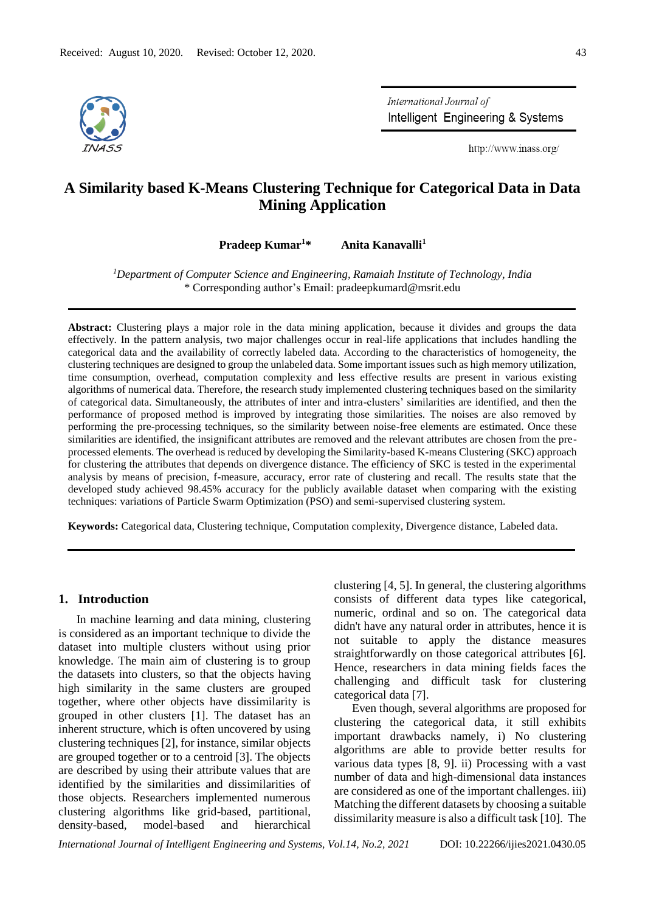

International Journal of Intelligent Engineering & Systems

http://www.inass.org/

# **A Similarity based K-Means Clustering Technique for Categorical Data in Data Mining Application**

**Pradeep Kumar<sup>1</sup>\* Anita Kanavalli<sup>1</sup>**

*<sup>1</sup>Department of Computer Science and Engineering, Ramaiah Institute of Technology, India* \* Corresponding author's Email: pradeepkumard@msrit.edu

**Abstract:** Clustering plays a major role in the data mining application, because it divides and groups the data effectively. In the pattern analysis, two major challenges occur in real-life applications that includes handling the categorical data and the availability of correctly labeled data. According to the characteristics of homogeneity, the clustering techniques are designed to group the unlabeled data. Some important issues such as high memory utilization, time consumption, overhead, computation complexity and less effective results are present in various existing algorithms of numerical data. Therefore, the research study implemented clustering techniques based on the similarity of categorical data. Simultaneously, the attributes of inter and intra-clusters' similarities are identified, and then the performance of proposed method is improved by integrating those similarities. The noises are also removed by performing the pre-processing techniques, so the similarity between noise-free elements are estimated. Once these similarities are identified, the insignificant attributes are removed and the relevant attributes are chosen from the preprocessed elements. The overhead is reduced by developing the Similarity-based K-means Clustering (SKC) approach for clustering the attributes that depends on divergence distance. The efficiency of SKC is tested in the experimental analysis by means of precision, f-measure, accuracy, error rate of clustering and recall. The results state that the developed study achieved 98.45% accuracy for the publicly available dataset when comparing with the existing techniques: variations of Particle Swarm Optimization (PSO) and semi-supervised clustering system.

**Keywords:** Categorical data, Clustering technique, Computation complexity, Divergence distance, Labeled data.

# **1. Introduction**

In machine learning and data mining, clustering is considered as an important technique to divide the dataset into multiple clusters without using prior knowledge. The main aim of clustering is to group the datasets into clusters, so that the objects having high similarity in the same clusters are grouped together, where other objects have dissimilarity is grouped in other clusters [1]. The dataset has an inherent structure, which is often uncovered by using clustering techniques [2], for instance, similar objects are grouped together or to a centroid [3]. The objects are described by using their attribute values that are identified by the similarities and dissimilarities of those objects. Researchers implemented numerous clustering algorithms like grid-based, partitional, density-based, model-based and hierarchical

clustering [4, 5]. In general, the clustering algorithms consists of different data types like categorical, numeric, ordinal and so on. The categorical data didn't have any natural order in attributes, hence it is not suitable to apply the distance measures straightforwardly on those categorical attributes [6]. Hence, researchers in data mining fields faces the challenging and difficult task for clustering categorical data [7].

Even though, several algorithms are proposed for clustering the categorical data, it still exhibits important drawbacks namely, i) No clustering algorithms are able to provide better results for various data types [8, 9]. ii) Processing with a vast number of data and high-dimensional data instances are considered as one of the important challenges. iii) Matching the different datasets by choosing a suitable dissimilarity measure is also a difficult task [10]. The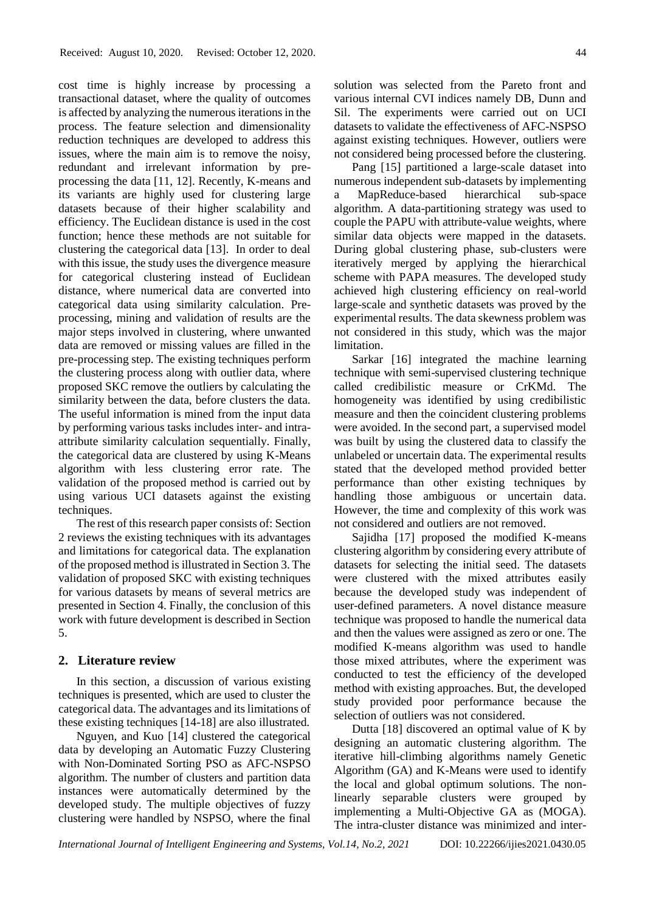cost time is highly increase by processing a transactional dataset, where the quality of outcomes is affected by analyzing the numerous iterations in the process. The feature selection and dimensionality reduction techniques are developed to address this issues, where the main aim is to remove the noisy, redundant and irrelevant information by preprocessing the data [11, 12]. Recently, K-means and its variants are highly used for clustering large datasets because of their higher scalability and efficiency. The Euclidean distance is used in the cost function; hence these methods are not suitable for clustering the categorical data [13]. In order to deal with this issue, the study uses the divergence measure for categorical clustering instead of Euclidean distance, where numerical data are converted into categorical data using similarity calculation. Preprocessing, mining and validation of results are the major steps involved in clustering, where unwanted data are removed or missing values are filled in the pre-processing step. The existing techniques perform the clustering process along with outlier data, where proposed SKC remove the outliers by calculating the similarity between the data, before clusters the data. The useful information is mined from the input data by performing various tasks includes inter- and intraattribute similarity calculation sequentially. Finally, the categorical data are clustered by using K-Means algorithm with less clustering error rate. The validation of the proposed method is carried out by using various UCI datasets against the existing techniques.

The rest of this research paper consists of: Section 2 reviews the existing techniques with its advantages and limitations for categorical data. The explanation of the proposed method is illustrated in Section 3. The validation of proposed SKC with existing techniques for various datasets by means of several metrics are presented in Section 4. Finally, the conclusion of this work with future development is described in Section 5.

## **2. Literature review**

In this section, a discussion of various existing techniques is presented, which are used to cluster the categorical data. The advantages and its limitations of these existing techniques [14-18] are also illustrated.

Nguyen, and Kuo [14] clustered the categorical data by developing an Automatic Fuzzy Clustering with Non-Dominated Sorting PSO as AFC-NSPSO algorithm. The number of clusters and partition data instances were automatically determined by the developed study. The multiple objectives of fuzzy clustering were handled by NSPSO, where the final solution was selected from the Pareto front and various internal CVI indices namely DB, Dunn and Sil. The experiments were carried out on UCI datasets to validate the effectiveness of AFC-NSPSO against existing techniques. However, outliers were not considered being processed before the clustering.

Pang [15] partitioned a large-scale dataset into numerous independent sub-datasets by implementing a MapReduce-based hierarchical sub-space algorithm. A data-partitioning strategy was used to couple the PAPU with attribute-value weights, where similar data objects were mapped in the datasets. During global clustering phase, sub-clusters were iteratively merged by applying the hierarchical scheme with PAPA measures. The developed study achieved high clustering efficiency on real-world large-scale and synthetic datasets was proved by the experimental results. The data skewness problem was not considered in this study, which was the major limitation.

Sarkar [16] integrated the machine learning technique with semi-supervised clustering technique called credibilistic measure or CrKMd. The homogeneity was identified by using credibilistic measure and then the coincident clustering problems were avoided. In the second part, a supervised model was built by using the clustered data to classify the unlabeled or uncertain data. The experimental results stated that the developed method provided better performance than other existing techniques by handling those ambiguous or uncertain data. However, the time and complexity of this work was not considered and outliers are not removed.

Sajidha [17] proposed the modified K-means clustering algorithm by considering every attribute of datasets for selecting the initial seed. The datasets were clustered with the mixed attributes easily because the developed study was independent of user-defined parameters. A novel distance measure technique was proposed to handle the numerical data and then the values were assigned as zero or one. The modified K-means algorithm was used to handle those mixed attributes, where the experiment was conducted to test the efficiency of the developed method with existing approaches. But, the developed study provided poor performance because the selection of outliers was not considered.

Dutta [18] discovered an optimal value of K by designing an automatic clustering algorithm. The iterative hill-climbing algorithms namely Genetic Algorithm (GA) and K-Means were used to identify the local and global optimum solutions. The nonlinearly separable clusters were grouped by implementing a Multi-Objective GA as (MOGA). The intra-cluster distance was minimized and inter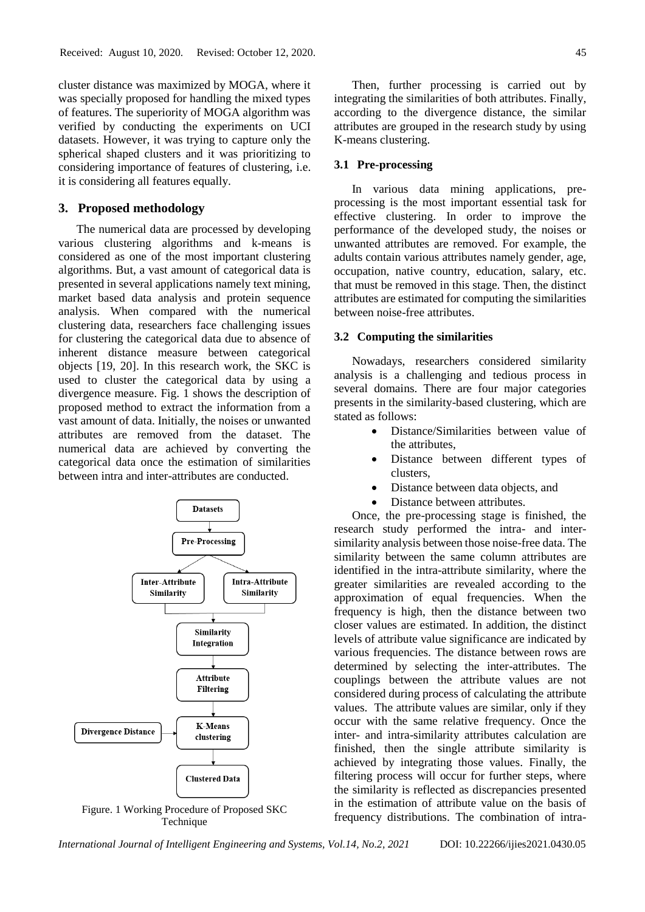cluster distance was maximized by MOGA, where it was specially proposed for handling the mixed types of features. The superiority of MOGA algorithm was verified by conducting the experiments on UCI datasets. However, it was trying to capture only the spherical shaped clusters and it was prioritizing to considering importance of features of clustering, i.e. it is considering all features equally.

#### **3. Proposed methodology**

The numerical data are processed by developing various clustering algorithms and k-means is considered as one of the most important clustering algorithms. But, a vast amount of categorical data is presented in several applications namely text mining, market based data analysis and protein sequence analysis. When compared with the numerical clustering data, researchers face challenging issues for clustering the categorical data due to absence of inherent distance measure between categorical objects [19, 20]. In this research work, the SKC is used to cluster the categorical data by using a divergence measure. Fig. 1 shows the description of proposed method to extract the information from a vast amount of data. Initially, the noises or unwanted attributes are removed from the dataset. The numerical data are achieved by converting the categorical data once the estimation of similarities between intra and inter-attributes are conducted.



Figure. 1 Working Procedure of Proposed SKC **Technique** 

Then, further processing is carried out by integrating the similarities of both attributes. Finally, according to the divergence distance, the similar attributes are grouped in the research study by using K-means clustering.

# **3.1 Pre-processing**

In various data mining applications, preprocessing is the most important essential task for effective clustering. In order to improve the performance of the developed study, the noises or unwanted attributes are removed. For example, the adults contain various attributes namely gender, age, occupation, native country, education, salary, etc. that must be removed in this stage. Then, the distinct attributes are estimated for computing the similarities between noise-free attributes.

#### **3.2 Computing the similarities**

Nowadays, researchers considered similarity analysis is a challenging and tedious process in several domains. There are four major categories presents in the similarity-based clustering, which are stated as follows:

- Distance/Similarities between value of the attributes,
	- Distance between different types of clusters,
- Distance between data objects, and
- Distance between attributes.

Once, the pre-processing stage is finished, the research study performed the intra- and intersimilarity analysis between those noise-free data. The similarity between the same column attributes are identified in the intra-attribute similarity, where the greater similarities are revealed according to the approximation of equal frequencies. When the frequency is high, then the distance between two closer values are estimated. In addition, the distinct levels of attribute value significance are indicated by various frequencies. The distance between rows are determined by selecting the inter-attributes. The couplings between the attribute values are not considered during process of calculating the attribute values. The attribute values are similar, only if they occur with the same relative frequency. Once the inter- and intra-similarity attributes calculation are finished, then the single attribute similarity is achieved by integrating those values. Finally, the filtering process will occur for further steps, where the similarity is reflected as discrepancies presented in the estimation of attribute value on the basis of frequency distributions. The combination of intra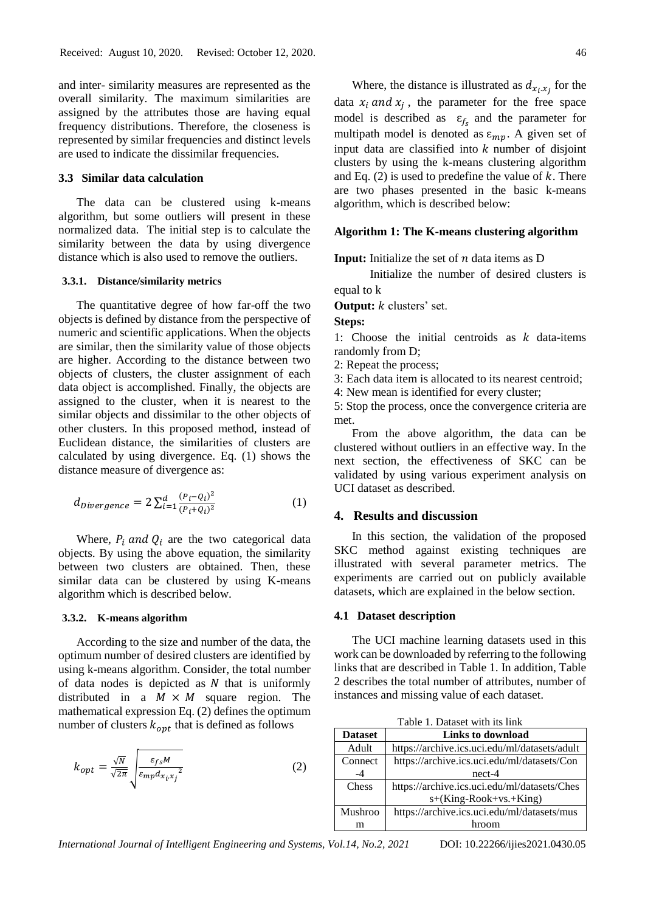and inter- similarity measures are represented as the overall similarity. The maximum similarities are assigned by the attributes those are having equal frequency distributions. Therefore, the closeness is represented by similar frequencies and distinct levels are used to indicate the dissimilar frequencies.

#### **3.3 Similar data calculation**

The data can be clustered using k-means algorithm, but some outliers will present in these normalized data. The initial step is to calculate the similarity between the data by using divergence distance which is also used to remove the outliers.

#### **3.3.1. Distance/similarity metrics**

The quantitative degree of how far-off the two objects is defined by distance from the perspective of numeric and scientific applications. When the objects are similar, then the similarity value of those objects are higher. According to the distance between two objects of clusters, the cluster assignment of each data object is accomplished. Finally, the objects are assigned to the cluster, when it is nearest to the similar objects and dissimilar to the other objects of other clusters. In this proposed method, instead of Euclidean distance, the similarities of clusters are calculated by using divergence. Eq. (1) shows the distance measure of divergence as:

$$
d_{Divergence} = 2 \sum_{i=1}^{d} \frac{(P_i - Q_i)^2}{(P_i + Q_i)^2}
$$
 (1)

Where,  $P_i$  and  $Q_i$  are the two categorical data objects. By using the above equation, the similarity between two clusters are obtained. Then, these similar data can be clustered by using K-means algorithm which is described below.

#### **3.3.2. K-means algorithm**

According to the size and number of the data, the optimum number of desired clusters are identified by using k-means algorithm. Consider, the total number of data nodes is depicted as  $N$  that is uniformly distributed in a  $M \times M$  square region. The mathematical expression Eq. (2) defines the optimum number of clusters  $k_{opt}$  that is defined as follows

$$
k_{opt} = \frac{\sqrt{N}}{\sqrt{2\pi}} \sqrt{\frac{\varepsilon_{fs}M}{\varepsilon_{mp}d_{x_ix_j}^2}}
$$
 (2)

Where, the distance is illustrated as  $d_{x_i,x_j}$  for the data  $x_i$  and  $x_j$ , the parameter for the free space model is described as  $\varepsilon_{f_s}$  and the parameter for multipath model is denoted as  $\varepsilon_{mp}$ . A given set of input data are classified into  $k$  number of disjoint clusters by using the k-means clustering algorithm and Eq. (2) is used to predefine the value of  $k$ . There are two phases presented in the basic k-means algorithm, which is described below:

## **Algorithm 1: The K-means clustering algorithm**

**Input:** Initialize the set of  $n$  data items as  $D$ 

 Initialize the number of desired clusters is equal to k

**Output:** *k* clusters' set.

**Steps:**

1: Choose the initial centroids as  $k$  data-items randomly from D;

- 2: Repeat the process;
- 3: Each data item is allocated to its nearest centroid;

4: New mean is identified for every cluster;

5: Stop the process, once the convergence criteria are met.

From the above algorithm, the data can be clustered without outliers in an effective way. In the next section, the effectiveness of SKC can be validated by using various experiment analysis on UCI dataset as described.

# **4. Results and discussion**

In this section, the validation of the proposed SKC method against existing techniques are illustrated with several parameter metrics. The experiments are carried out on publicly available datasets, which are explained in the below section.

#### **4.1 Dataset description**

The UCI machine learning datasets used in this work can be downloaded by referring to the following links that are described in Table 1. In addition, Table 2 describes the total number of attributes, number of instances and missing value of each dataset.

Table 1. Dataset with its link

| <b>Dataset</b> | Links to download                             |
|----------------|-----------------------------------------------|
| Adult          | https://archive.ics.uci.edu/ml/datasets/adult |
| Connect        | https://archive.ics.uci.edu/ml/datasets/Con   |
| $-4$           | $nect-4$                                      |
| Chess          | https://archive.ics.uci.edu/ml/datasets/Ches  |
|                | s+(King-Rook+vs.+King)                        |
| <b>Mushroo</b> | https://archive.ics.uci.edu/ml/datasets/mus   |
| m              | hroom                                         |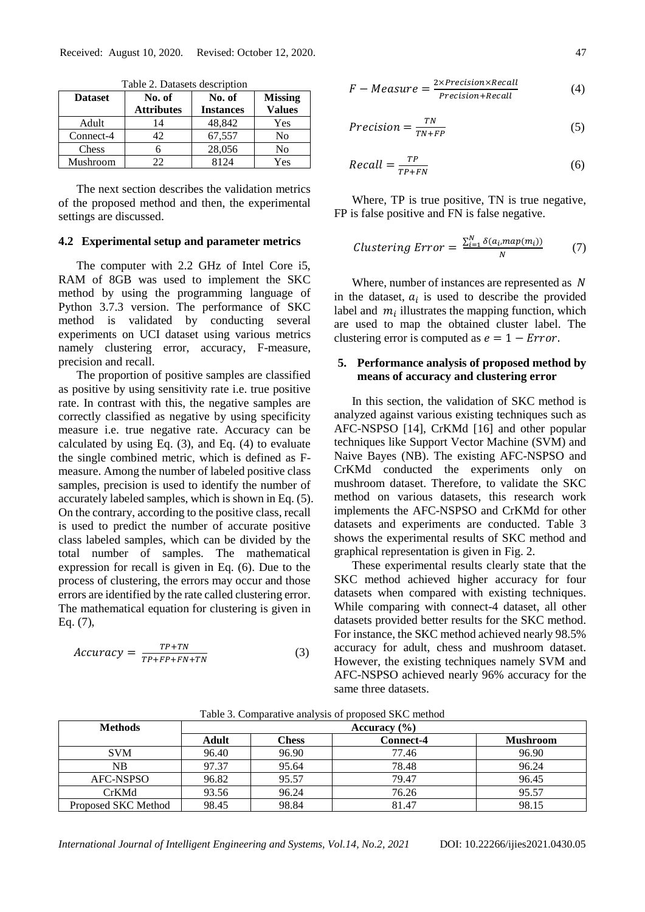| <b>Dataset</b> | No. of<br><b>Attributes</b> | No. of<br><b>Instances</b> | <b>Missing</b><br><b>Values</b> |  |
|----------------|-----------------------------|----------------------------|---------------------------------|--|
| Adult          | 14                          | 48,842                     | Yes                             |  |
| Connect-4      | 42                          | 67,557                     | No                              |  |
| Chess          |                             | 28,056                     | No                              |  |
| Mushroom       | つつ                          | 8124                       | Yes                             |  |

Table 2. Datasets description

The next section describes the validation metrics of the proposed method and then, the experimental settings are discussed.

### **4.2 Experimental setup and parameter metrics**

The computer with 2.2 GHz of Intel Core i5, RAM of 8GB was used to implement the SKC method by using the programming language of Python 3.7.3 version. The performance of SKC method is validated by conducting several experiments on UCI dataset using various metrics namely clustering error, accuracy, F-measure, precision and recall.

The proportion of positive samples are classified as positive by using sensitivity rate i.e. true positive rate. In contrast with this, the negative samples are correctly classified as negative by using specificity measure i.e. true negative rate. Accuracy can be calculated by using Eq. (3), and Eq. (4) to evaluate the single combined metric, which is defined as Fmeasure. Among the number of labeled positive class samples, precision is used to identify the number of accurately labeled samples, which is shown in Eq. (5). On the contrary, according to the positive class, recall is used to predict the number of accurate positive class labeled samples, which can be divided by the total number of samples. The mathematical expression for recall is given in Eq. (6). Due to the process of clustering, the errors may occur and those errors are identified by the rate called clustering error. The mathematical equation for clustering is given in Eq. (7),

$$
Accuracy = \frac{TP + TN}{TP + FP + FN + TN}
$$
 (3)

$$
F-Measure = \frac{2 \times Precision \times Recall}{Precision + Recall}
$$
 (4)

$$
Precision = \frac{TN}{TN + FP}
$$
 (5)

$$
Recall = \frac{TP}{TP + FN} \tag{6}
$$

Where, TP is true positive, TN is true negative, FP is false positive and FN is false negative.

$$
Clustering Error = \frac{\sum_{i=1}^{N} \delta(a_i, map(m_i))}{N} \tag{7}
$$

Where, number of instances are represented as N in the dataset,  $a_i$  is used to describe the provided label and  $m_i$  illustrates the mapping function, which are used to map the obtained cluster label. The clustering error is computed as  $e = 1 - Error$ .

# **5. Performance analysis of proposed method by means of accuracy and clustering error**

In this section, the validation of SKC method is analyzed against various existing techniques such as AFC-NSPSO [14], CrKMd [16] and other popular techniques like Support Vector Machine (SVM) and Naive Bayes (NB). The existing AFC-NSPSO and CrKMd conducted the experiments only on mushroom dataset. Therefore, to validate the SKC method on various datasets, this research work implements the AFC-NSPSO and CrKMd for other datasets and experiments are conducted. Table 3 shows the experimental results of SKC method and graphical representation is given in Fig. 2.

These experimental results clearly state that the SKC method achieved higher accuracy for four datasets when compared with existing techniques. While comparing with connect-4 dataset, all other datasets provided better results for the SKC method. For instance, the SKC method achieved nearly 98.5% accuracy for adult, chess and mushroom dataset. However, the existing techniques namely SVM and AFC-NSPSO achieved nearly 96% accuracy for the same three datasets.

| <b>Methods</b>      | Accuracy $(\% )$ |              |                  |                 |  |  |
|---------------------|------------------|--------------|------------------|-----------------|--|--|
|                     | Adult            | <b>Chess</b> | <b>Connect-4</b> | <b>Mushroom</b> |  |  |
| <b>SVM</b>          | 96.40            | 96.90        | 77.46            | 96.90           |  |  |
| NΒ                  | 97.37            | 95.64        | 78.48            | 96.24           |  |  |
| <b>AFC-NSPSO</b>    | 96.82            | 95.57        | 79.47            | 96.45           |  |  |
| CrKMd               | 93.56            | 96.24        | 76.26            | 95.57           |  |  |
| Proposed SKC Method | 98.45            | 98.84        | 81.47            | 98.15           |  |  |

Table 3. Comparative analysis of proposed SKC method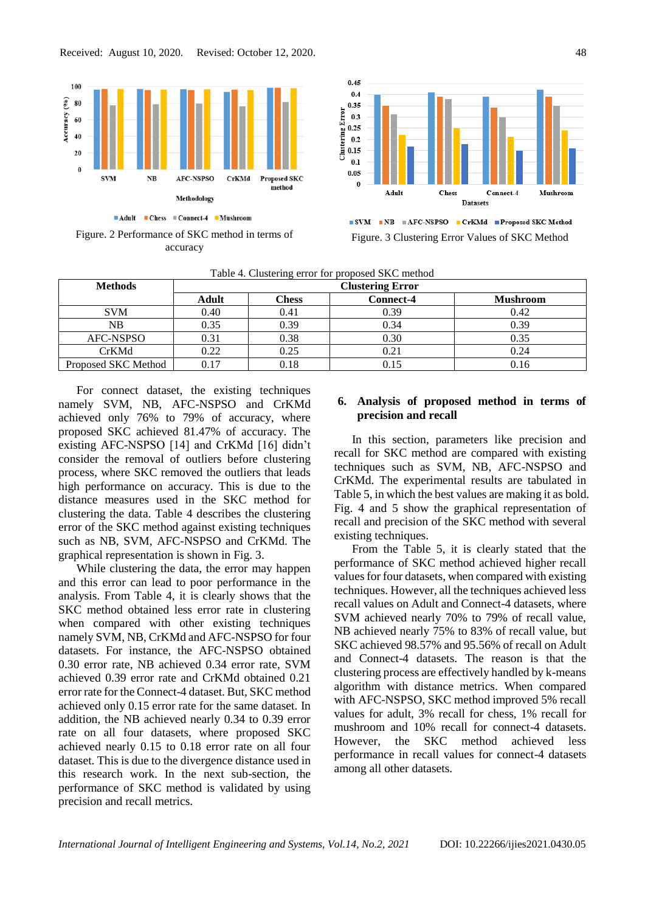

Figure. 2 Performance of SKC method in terms of accuracy



■ SVM ■ NB ■ AFC-NSPSO ■ CrKMd ■ Proposed SKC Method Figure. 3 Clustering Error Values of SKC Method

| <b>Methods</b>      | <b>Clustering Error</b> |              |                  |                 |  |
|---------------------|-------------------------|--------------|------------------|-----------------|--|
|                     | Adult                   | <b>Chess</b> | <b>Connect-4</b> | <b>Mushroom</b> |  |
| <b>SVM</b>          | 0.40                    | 0.41         | 0.39             | 0.42            |  |
| NΒ                  | 0.35                    | 0.39         | 0.34             | 0.39            |  |
| AFC-NSPSO           | 0.31                    | 0.38         | 0.30             | 0.35            |  |
| CrKMd               | 0.22                    | 0.25         |                  | 0.24            |  |
| Proposed SKC Method | 0.17                    | 0.18         |                  | 0.16            |  |

Table 4. Clustering error for proposed SKC method

For connect dataset, the existing techniques namely SVM, NB, AFC-NSPSO and CrKMd achieved only 76% to 79% of accuracy, where proposed SKC achieved 81.47% of accuracy. The existing AFC-NSPSO [14] and CrKMd [16] didn't consider the removal of outliers before clustering process, where SKC removed the outliers that leads high performance on accuracy. This is due to the distance measures used in the SKC method for clustering the data. Table 4 describes the clustering error of the SKC method against existing techniques such as NB, SVM, AFC-NSPSO and CrKMd. The graphical representation is shown in Fig. 3.

While clustering the data, the error may happen and this error can lead to poor performance in the analysis. From Table 4, it is clearly shows that the SKC method obtained less error rate in clustering when compared with other existing techniques namely SVM, NB, CrKMd and AFC-NSPSO for four datasets. For instance, the AFC-NSPSO obtained 0.30 error rate, NB achieved 0.34 error rate, SVM achieved 0.39 error rate and CrKMd obtained 0.21 error rate for the Connect-4 dataset. But, SKC method achieved only 0.15 error rate for the same dataset. In addition, the NB achieved nearly 0.34 to 0.39 error rate on all four datasets, where proposed SKC achieved nearly 0.15 to 0.18 error rate on all four dataset. This is due to the divergence distance used in this research work. In the next sub-section, the performance of SKC method is validated by using precision and recall metrics.

# **6. Analysis of proposed method in terms of precision and recall**

In this section, parameters like precision and recall for SKC method are compared with existing techniques such as SVM, NB, AFC-NSPSO and CrKMd. The experimental results are tabulated in Table 5, in which the best values are making it as bold. Fig. 4 and 5 show the graphical representation of recall and precision of the SKC method with several existing techniques.

From the Table 5, it is clearly stated that the performance of SKC method achieved higher recall values for four datasets, when compared with existing techniques. However, all the techniques achieved less recall values on Adult and Connect-4 datasets, where SVM achieved nearly 70% to 79% of recall value, NB achieved nearly 75% to 83% of recall value, but SKC achieved 98.57% and 95.56% of recall on Adult and Connect-4 datasets. The reason is that the clustering process are effectively handled by k-means algorithm with distance metrics. When compared with AFC-NSPSO, SKC method improved 5% recall values for adult, 3% recall for chess, 1% recall for mushroom and 10% recall for connect-4 datasets. However, the SKC method achieved less performance in recall values for connect-4 datasets among all other datasets.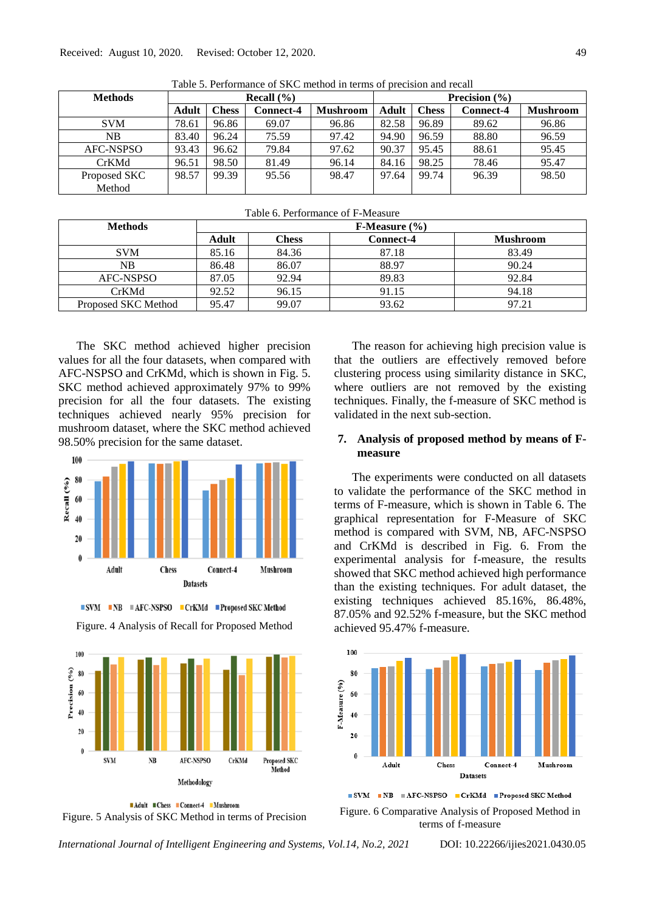| Tuote of Ferrandell of Direction in Million Diversion and recur |                |              |                  |                 |                   |              |                  |                 |
|-----------------------------------------------------------------|----------------|--------------|------------------|-----------------|-------------------|--------------|------------------|-----------------|
| <b>Methods</b>                                                  | Recall $(\% )$ |              |                  |                 | Precision $(\% )$ |              |                  |                 |
|                                                                 | Adult          | <b>Chess</b> | <b>Connect-4</b> | <b>Mushroom</b> | Adult             | <b>Chess</b> | <b>Connect-4</b> | <b>Mushroom</b> |
| <b>SVM</b>                                                      | 78.61          | 96.86        | 69.07            | 96.86           | 82.58             | 96.89        | 89.62            | 96.86           |
| NB                                                              | 83.40          | 96.24        | 75.59            | 97.42           | 94.90             | 96.59        | 88.80            | 96.59           |
| AFC-NSPSO                                                       | 93.43          | 96.62        | 79.84            | 97.62           | 90.37             | 95.45        | 88.61            | 95.45           |
| <b>CrKMd</b>                                                    | 96.51          | 98.50        | 81.49            | 96.14           | 84.16             | 98.25        | 78.46            | 95.47           |
| Proposed SKC                                                    | 98.57          | 99.39        | 95.56            | 98.47           | 97.64             | 99.74        | 96.39            | 98.50           |
| Method                                                          |                |              |                  |                 |                   |              |                  |                 |

Table 5. Performance of SKC method in terms of precision and recall

| Table 0. I chomiance 01 F-Measure |                          |              |           |                 |  |
|-----------------------------------|--------------------------|--------------|-----------|-----------------|--|
| <b>Methods</b>                    | <b>F-Measure</b> $(\% )$ |              |           |                 |  |
|                                   | Adult                    | <b>Chess</b> | Connect-4 | <b>Mushroom</b> |  |
| <b>SVM</b>                        | 85.16                    | 84.36        | 87.18     | 83.49           |  |
| NB                                | 86.48                    | 86.07        | 88.97     | 90.24           |  |
| AFC-NSPSO                         | 87.05                    | 92.94        | 89.83     | 92.84           |  |
| CrKMd                             | 92.52                    | 96.15        | 91.15     | 94.18           |  |
| Proposed SKC Method               | 95.47                    | 99.07        | 93.62     | 97.21           |  |

Table 6. Performance of F-Measure

The SKC method achieved higher precision values for all the four datasets, when compared with AFC-NSPSO and CrKMd, which is shown in Fig. 5. SKC method achieved approximately 97% to 99% precision for all the four datasets. The existing techniques achieved nearly 95% precision for mushroom dataset, where the SKC method achieved 98.50% precision for the same dataset.



**■ SVM ■ NB ■ AFC-NSPSO ■ CrKMd ■ Proposed SKC Method** 







The reason for achieving high precision value is that the outliers are effectively removed before clustering process using similarity distance in SKC, where outliers are not removed by the existing techniques. Finally, the f-measure of SKC method is validated in the next sub-section.

## **7. Analysis of proposed method by means of Fmeasure**

The experiments were conducted on all datasets to validate the performance of the SKC method in terms of F-measure, which is shown in Table 6. The graphical representation for F-Measure of SKC method is compared with SVM, NB, AFC-NSPSO and CrKMd is described in Fig. 6. From the experimental analysis for f-measure, the results showed that SKC method achieved high performance than the existing techniques. For adult dataset, the existing techniques achieved 85.16%, 86.48%, 87.05% and 92.52% f-measure, but the SKC method achieved 95.47% f-measure.



■ SVM ■ NB ■ AFC-NSPSO ■ CrKMd ■ Proposed SKC Method

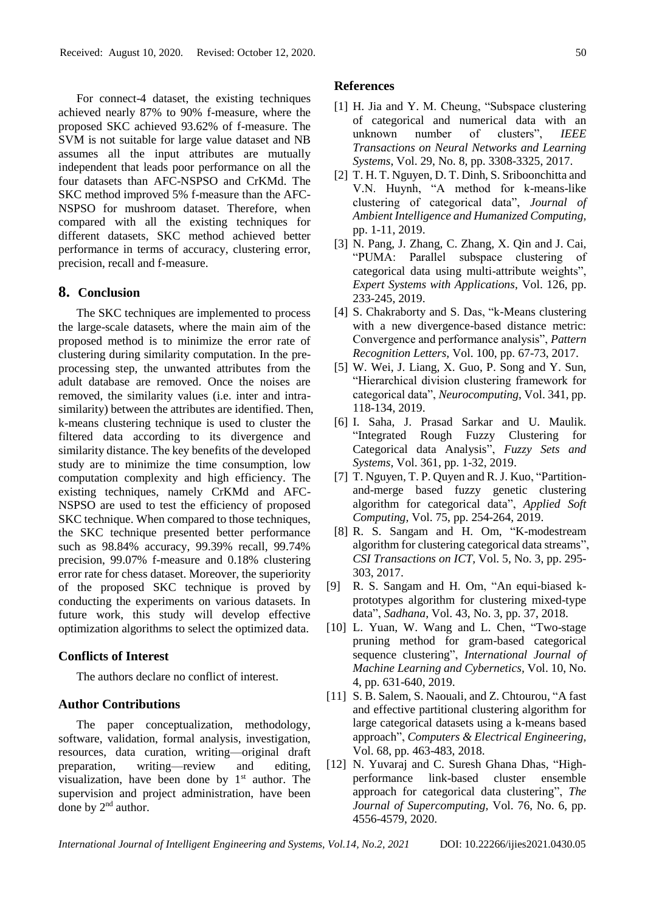For connect-4 dataset, the existing techniques achieved nearly 87% to 90% f-measure, where the proposed SKC achieved 93.62% of f-measure. The SVM is not suitable for large value dataset and NB assumes all the input attributes are mutually independent that leads poor performance on all the four datasets than AFC-NSPSO and CrKMd. The SKC method improved 5% f-measure than the AFC-NSPSO for mushroom dataset. Therefore, when compared with all the existing techniques for different datasets, SKC method achieved better performance in terms of accuracy, clustering error, precision, recall and f-measure.

# **8. Conclusion**

The SKC techniques are implemented to process the large-scale datasets, where the main aim of the proposed method is to minimize the error rate of clustering during similarity computation. In the preprocessing step, the unwanted attributes from the adult database are removed. Once the noises are removed, the similarity values (i.e. inter and intrasimilarity) between the attributes are identified. Then, k-means clustering technique is used to cluster the filtered data according to its divergence and similarity distance. The key benefits of the developed study are to minimize the time consumption, low computation complexity and high efficiency. The existing techniques, namely CrKMd and AFC-NSPSO are used to test the efficiency of proposed SKC technique. When compared to those techniques, the SKC technique presented better performance such as 98.84% accuracy, 99.39% recall, 99.74% precision, 99.07% f-measure and 0.18% clustering error rate for chess dataset. Moreover, the superiority of the proposed SKC technique is proved by conducting the experiments on various datasets. In future work, this study will develop effective optimization algorithms to select the optimized data.

#### **Conflicts of Interest**

The authors declare no conflict of interest.

#### **Author Contributions**

The paper conceptualization, methodology, software, validation, formal analysis, investigation, resources, data curation, writing—original draft preparation, writing—review and editing, visualization, have been done by  $1<sup>st</sup>$  author. The supervision and project administration, have been done by 2<sup>nd</sup> author.

#### **References**

- [1] H. Jia and Y. M. Cheung, "Subspace clustering of categorical and numerical data with an unknown number of clusters", *IEEE Transactions on Neural Networks and Learning Systems*, Vol. 29, No. 8, pp. 3308-3325, 2017.
- [2] T. H. T. Nguyen, D. T. Dinh, S. Sriboonchitta and V.N. Huynh, "A method for k-means-like clustering of categorical data", *Journal of Ambient Intelligence and Humanized Computing,* pp. 1-11, 2019.
- [3] N. Pang, J. Zhang, C. Zhang, X. Qin and J. Cai, "PUMA: Parallel subspace clustering of categorical data using multi-attribute weights", *Expert Systems with Applications*, Vol. 126, pp. 233-245, 2019.
- [4] S. Chakraborty and S. Das, "k-Means clustering with a new divergence-based distance metric: Convergence and performance analysis", *Pattern Recognition Letters,* Vol. 100, pp. 67-73, 2017.
- [5] W. Wei, J. Liang, X. Guo, P. Song and Y. Sun, "Hierarchical division clustering framework for categorical data", *Neurocomputing*, Vol. 341, pp. 118-134, 2019.
- [6] I. Saha, J. Prasad Sarkar and U. Maulik. "Integrated Rough Fuzzy Clustering for Categorical data Analysis", *Fuzzy Sets and Systems,* Vol. 361, pp. 1-32, 2019.
- [7] T. Nguyen, T. P. Quyen and R. J. Kuo, "Partitionand-merge based fuzzy genetic clustering algorithm for categorical data", *Applied Soft Computing,* Vol. 75, pp. 254-264, 2019.
- [8] R. S. Sangam and H. Om, "K-modestream algorithm for clustering categorical data streams", *CSI Transactions on ICT,* Vol. 5, No. 3, pp. 295- 303, 2017.
- [9] R. S. Sangam and H. Om, "An equi-biased kprototypes algorithm for clustering mixed-type data", *Sadhana,* Vol. 43, No. 3, pp. 37, 2018.
- [10] L. Yuan, W. Wang and L. Chen, "Two-stage pruning method for gram-based categorical sequence clustering", *International Journal of Machine Learning and Cybernetics,* Vol. 10, No. 4, pp. 631-640, 2019.
- [11] S. B. Salem, S. Naouali, and Z. Chtourou, "A fast" and effective partitional clustering algorithm for large categorical datasets using a k-means based approach", *Computers & Electrical Engineering,* Vol. 68, pp. 463-483, 2018.
- [12] N. Yuvaraj and C. Suresh Ghana Dhas, "Highperformance link-based cluster ensemble approach for categorical data clustering", *The Journal of Supercomputing,* Vol. 76, No. 6, pp. 4556-4579, 2020.